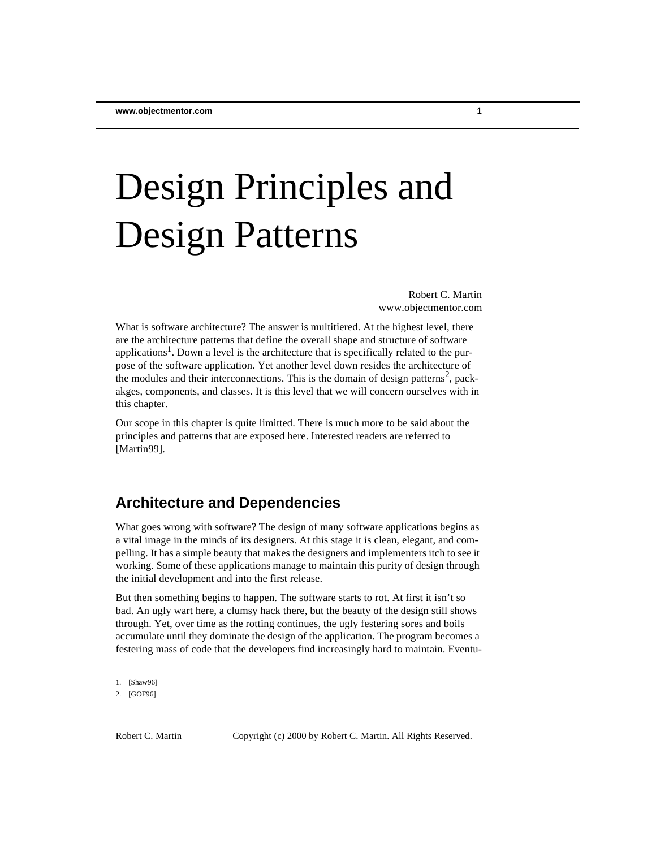# Design Principles and Design Patterns

Robert C. Martin www.objectmentor.com

What is software architecture? The answer is multitiered. At the highest level, there are the architecture patterns that define the overall shape and structure of software applications<sup>1</sup>. Down a level is the architecture that is specifically related to the purpose of the software application. Yet another level down resides the architecture of the modules and their interconnections. This is the domain of design patterns<sup>2</sup>, packakges, components, and classes. It is this level that we will concern ourselves with in this chapter.

Our scope in this chapter is quite limitted. There is much more to be said about the principles and patterns that are exposed here. Interested readers are referred to [Martin99].

# **Architecture and Dependencies**

What goes wrong with software? The design of many software applications begins as a vital image in the minds of its designers. At this stage it is clean, elegant, and compelling. It has a simple beauty that makes the designers and implementers itch to see it working. Some of these applications manage to maintain this purity of design through the initial development and into the first release.

But then something begins to happen. The software starts to rot. At first it isn't so bad. An ugly wart here, a clumsy hack there, but the beauty of the design still shows through. Yet, over time as the rotting continues, the ugly festering sores and boils accumulate until they dominate the design of the application. The program becomes a festering mass of code that the developers find increasingly hard to maintain. Eventu-

<sup>1.</sup> [Shaw96]

<sup>2.</sup> [GOF96]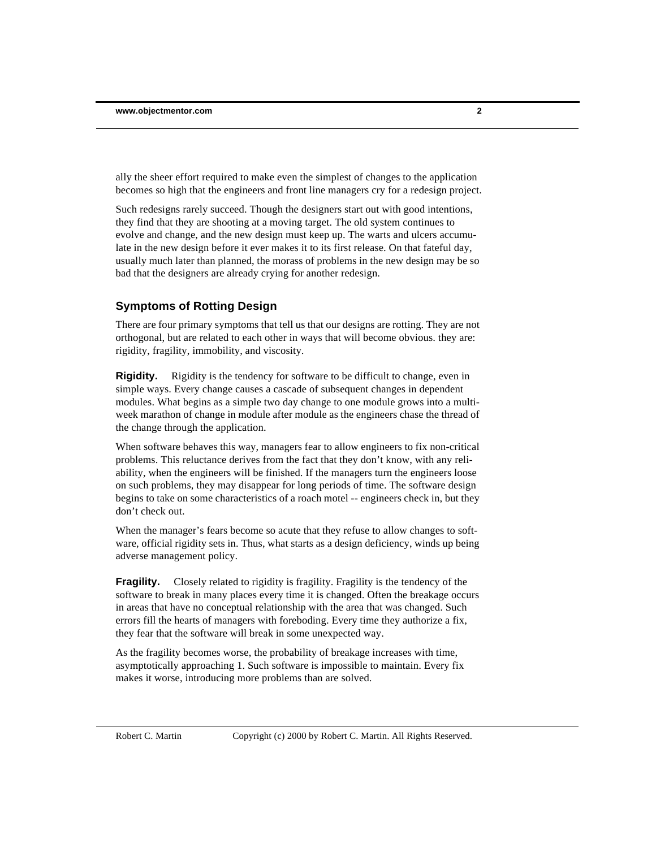ally the sheer effort required to make even the simplest of changes to the application becomes so high that the engineers and front line managers cry for a redesign project.

Such redesigns rarely succeed. Though the designers start out with good intentions, they find that they are shooting at a moving target. The old system continues to evolve and change, and the new design must keep up. The warts and ulcers accumulate in the new design before it ever makes it to its first release. On that fateful day, usually much later than planned, the morass of problems in the new design may be so bad that the designers are already crying for another redesign.

#### **Symptoms of Rotting Design**

There are four primary symptoms that tell us that our designs are rotting. They are not orthogonal, but are related to each other in ways that will become obvious. they are: rigidity, fragility, immobility, and viscosity.

**Rigidity.** Rigidity is the tendency for software to be difficult to change, even in simple ways. Every change causes a cascade of subsequent changes in dependent modules. What begins as a simple two day change to one module grows into a multiweek marathon of change in module after module as the engineers chase the thread of the change through the application.

When software behaves this way, managers fear to allow engineers to fix non-critical problems. This reluctance derives from the fact that they don't know, with any reliability, when the engineers will be finished. If the managers turn the engineers loose on such problems, they may disappear for long periods of time. The software design begins to take on some characteristics of a roach motel -- engineers check in, but they don't check out.

When the manager's fears become so acute that they refuse to allow changes to software, official rigidity sets in. Thus, what starts as a design deficiency, winds up being adverse management policy.

**Fragility.** Closely related to rigidity is fragility. Fragility is the tendency of the software to break in many places every time it is changed. Often the breakage occurs in areas that have no conceptual relationship with the area that was changed. Such errors fill the hearts of managers with foreboding. Every time they authorize a fix, they fear that the software will break in some unexpected way.

As the fragility becomes worse, the probability of breakage increases with time, asymptotically approaching 1. Such software is impossible to maintain. Every fix makes it worse, introducing more problems than are solved.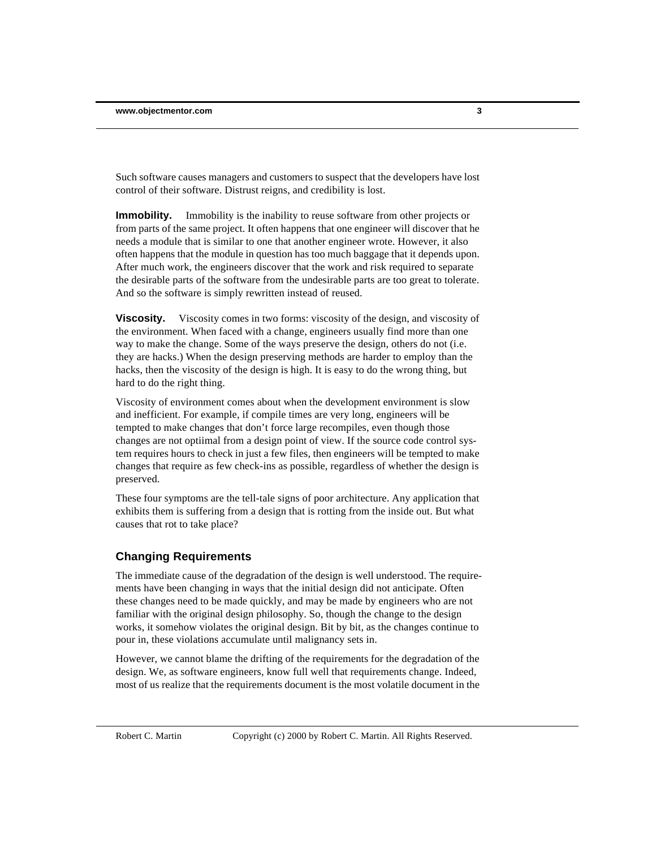Such software causes managers and customers to suspect that the developers have lost control of their software. Distrust reigns, and credibility is lost.

**Immobility.** Immobility is the inability to reuse software from other projects or from parts of the same project. It often happens that one engineer will discover that he needs a module that is similar to one that another engineer wrote. However, it also often happens that the module in question has too much baggage that it depends upon. After much work, the engineers discover that the work and risk required to separate the desirable parts of the software from the undesirable parts are too great to tolerate. And so the software is simply rewritten instead of reused.

**Viscosity.** Viscosity comes in two forms: viscosity of the design, and viscosity of the environment. When faced with a change, engineers usually find more than one way to make the change. Some of the ways preserve the design, others do not (i.e. they are hacks.) When the design preserving methods are harder to employ than the hacks, then the viscosity of the design is high. It is easy to do the wrong thing, but hard to do the right thing.

Viscosity of environment comes about when the development environment is slow and inefficient. For example, if compile times are very long, engineers will be tempted to make changes that don't force large recompiles, even though those changes are not optiimal from a design point of view. If the source code control system requires hours to check in just a few files, then engineers will be tempted to make changes that require as few check-ins as possible, regardless of whether the design is preserved.

These four symptoms are the tell-tale signs of poor architecture. Any application that exhibits them is suffering from a design that is rotting from the inside out. But what causes that rot to take place?

#### **Changing Requirements**

The immediate cause of the degradation of the design is well understood. The requirements have been changing in ways that the initial design did not anticipate. Often these changes need to be made quickly, and may be made by engineers who are not familiar with the original design philosophy. So, though the change to the design works, it somehow violates the original design. Bit by bit, as the changes continue to pour in, these violations accumulate until malignancy sets in.

However, we cannot blame the drifting of the requirements for the degradation of the design. We, as software engineers, know full well that requirements change. Indeed, most of us realize that the requirements document is the most volatile document in the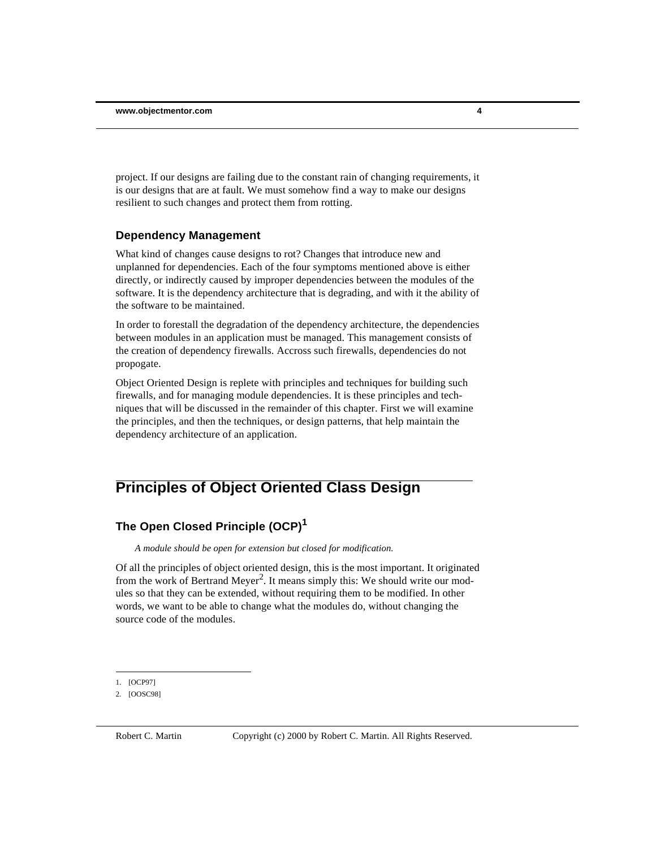project. If our designs are failing due to the constant rain of changing requirements, it is our designs that are at fault. We must somehow find a way to make our designs resilient to such changes and protect them from rotting.

#### **Dependency Management**

What kind of changes cause designs to rot? Changes that introduce new and unplanned for dependencies. Each of the four symptoms mentioned above is either directly, or indirectly caused by improper dependencies between the modules of the software. It is the dependency architecture that is degrading, and with it the ability of the software to be maintained.

In order to forestall the degradation of the dependency architecture, the dependencies between modules in an application must be managed. This management consists of the creation of dependency firewalls. Accross such firewalls, dependencies do not propogate.

Object Oriented Design is replete with principles and techniques for building such firewalls, and for managing module dependencies. It is these principles and techniques that will be discussed in the remainder of this chapter. First we will examine the principles, and then the techniques, or design patterns, that help maintain the dependency architecture of an application.

# **Principles of Object Oriented Class Design**

#### **The Open Closed Principle (OCP)<sup>1</sup>**

*A module should be open for extension but closed for modification.*

Of all the principles of object oriented design, this is the most important. It originated from the work of Bertrand Meyer<sup>2</sup>. It means simply this: We should write our modules so that they can be extended, without requiring them to be modified. In other words, we want to be able to change what the modules do, without changing the source code of the modules.

<sup>1.</sup> [OCP97]

<sup>2.</sup> [OOSC98]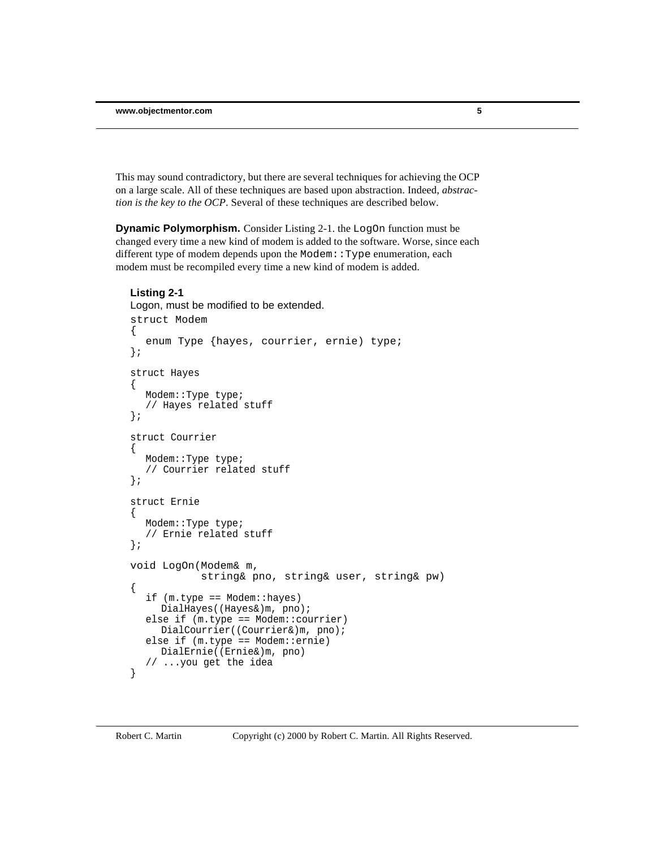This may sound contradictory, but there are several techniques for achieving the OCP on a large scale. All of these techniques are based upon abstraction. Indeed, *abstraction is the key to the OCP*. Several of these techniques are described below.

**Dynamic Polymorphism.** Consider Listing 2-1. the LogOn function must be changed every time a new kind of modem is added to the software. Worse, since each different type of modem depends upon the Modem: : Type enumeration, each modem must be recompiled every time a new kind of modem is added.

#### **Listing 2-1**

```
Logon, must be modified to be extended.
struct Modem 
{
   enum Type {hayes, courrier, ernie) type;
};
struct Hayes
{
  Modem::Type type;
   // Hayes related stuff
};
struct Courrier
\left\{ \right.Modem::Type type;
   // Courrier related stuff
};
struct Ernie
{
  Modem::Type type;
   // Ernie related stuff
};
void LogOn(Modem& m, 
            string& pno, string& user, string& pw)
{
   if (m.type == Modem::hayes)
     DialHayes((Hayes&)m, pno);
  else if (m.type == Modem::courrier)
     DialCourrier((Courrier&)m, pno);
   else if (m.type == Modem::ernie)
     DialErnie((Ernie&)m, pno)
   // ...you get the idea
}
```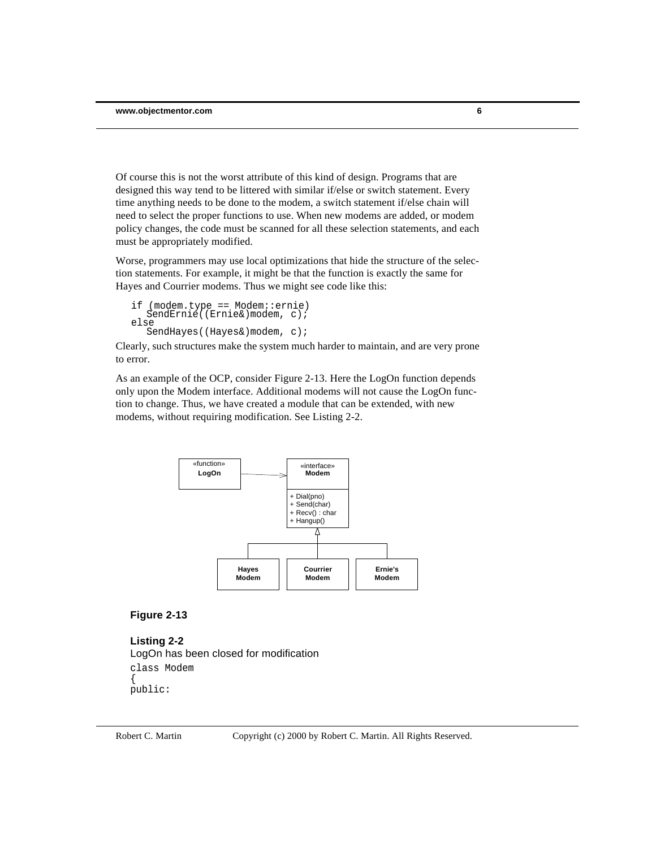Of course this is not the worst attribute of this kind of design. Programs that are designed this way tend to be littered with similar if/else or switch statement. Every time anything needs to be done to the modem, a switch statement if/else chain will need to select the proper functions to use. When new modems are added, or modem policy changes, the code must be scanned for all these selection statements, and each must be appropriately modified.

Worse, programmers may use local optimizations that hide the structure of the selection statements. For example, it might be that the function is exactly the same for Hayes and Courrier modems. Thus we might see code like this:

```
if (modem.type == Modem::ernie)
SendErnie((Ernie&)modem, c);
else
   SendHayes((Hayes&)modem, c);
```
Clearly, such structures make the system much harder to maintain, and are very prone to error.

As an example of the OCP, consider Figure 2-13. Here the LogOn function depends only upon the Modem interface. Additional modems will not cause the LogOn function to change. Thus, we have created a module that can be extended, with new modems, without requiring modification. See Listing 2-2.



#### **Figure 2-13**

**Listing 2-2** LogOn has been closed for modification class Modem { public: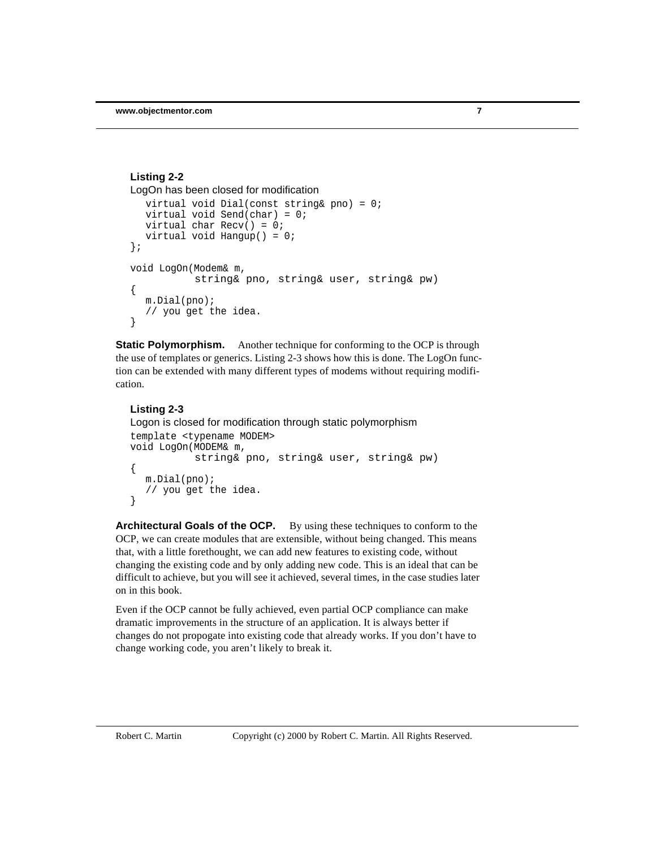```
virtual void Dial(const string& pno) = 0;
  virtual void Send(char) = 0;
  virtual char Recv() = 0;
  virtual void Hangup() = 0;
};
void LogOn(Modem& m, 
           string& pno, string& user, string& pw)
{
  m.Dial(pno);
   // you get the idea.
}
Listing 2-2
LogOn has been closed for modification
```
**Static Polymorphism.** Another technique for conforming to the OCP is through the use of templates or generics. Listing 2-3 shows how this is done. The LogOn function can be extended with many different types of modems without requiring modification.

#### **Listing 2-3**

```
Logon is closed for modification through static polymorphism
template <typename MODEM>
void LogOn(MODEM& m,
            string& pno, string& user, string& pw)
\{m.Dial(pno);
   // you get the idea.
}
```
**Architectural Goals of the OCP.** By using these techniques to conform to the OCP, we can create modules that are extensible, without being changed. This means that, with a little forethought, we can add new features to existing code, without changing the existing code and by only adding new code. This is an ideal that can be difficult to achieve, but you will see it achieved, several times, in the case studies later on in this book.

Even if the OCP cannot be fully achieved, even partial OCP compliance can make dramatic improvements in the structure of an application. It is always better if changes do not propogate into existing code that already works. If you don't have to change working code, you aren't likely to break it.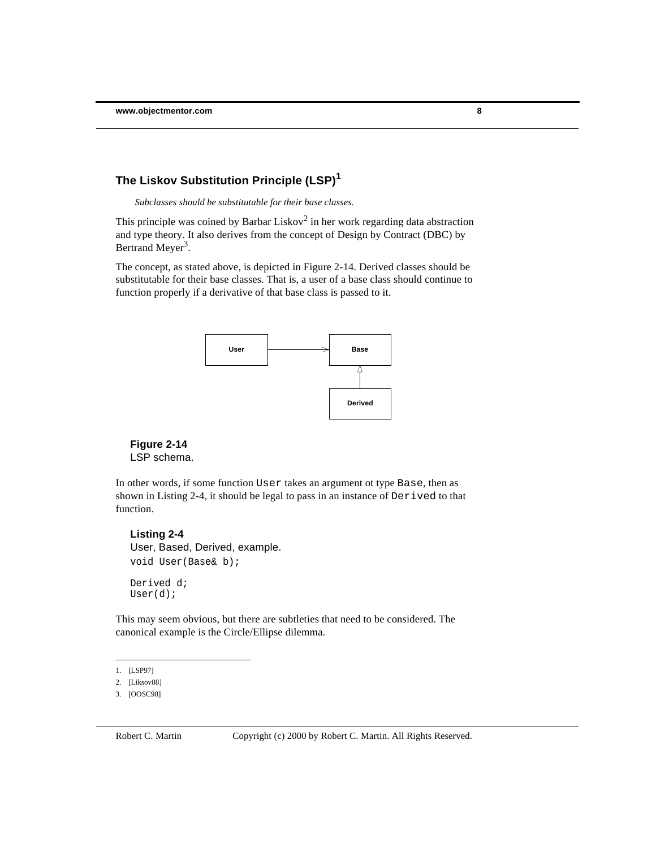#### **The Liskov Substitution Principle (LSP)<sup>1</sup>**

*Subclasses should be substitutable for their base classes.*

This principle was coined by Barbar Liskov<sup>2</sup> in her work regarding data abstraction and type theory. It also derives from the concept of Design by Contract (DBC) by Bertrand Meyer<sup>3</sup>.

The concept, as stated above, is depicted in Figure 2-14. Derived classes should be substitutable for their base classes. That is, a user of a base class should continue to function properly if a derivative of that base class is passed to it.



#### **Figure 2-14** LSP schema.

In other words, if some function User takes an argument ot type Base, then as shown in Listing 2-4, it should be legal to pass in an instance of Derived to that function.

#### **Listing 2-4**

User, Based, Derived, example. void User(Base& b); Derived d; User(d);

This may seem obvious, but there are subtleties that need to be considered. The canonical example is the Circle/Ellipse dilemma.

<sup>1.</sup> [LSP97]

<sup>2.</sup> [Liksov88]

<sup>3.</sup> [OOSC98]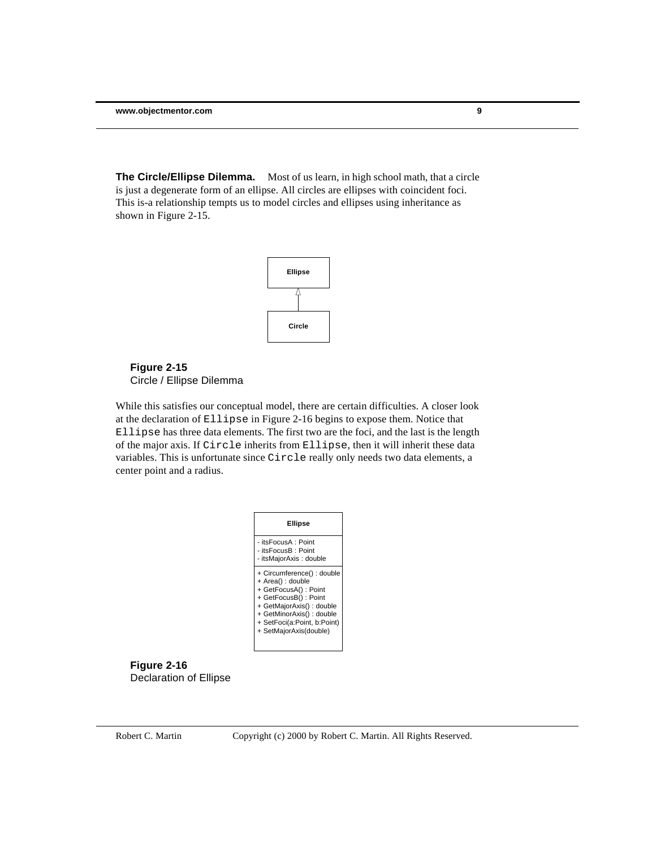**The Circle/Ellipse Dilemma.** Most of us learn, in high school math, that a circle is just a degenerate form of an ellipse. All circles are ellipses with coincident foci. This is-a relationship tempts us to model circles and ellipses using inheritance as shown in Figure 2-15.



#### **Figure 2-15** Circle / Ellipse Dilemma

While this satisfies our conceptual model, there are certain difficulties. A closer look at the declaration of Ellipse in Figure 2-16 begins to expose them. Notice that Ellipse has three data elements. The first two are the foci, and the last is the length of the major axis. If Circle inherits from Ellipse, then it will inherit these data variables. This is unfortunate since Circle really only needs two data elements, a center point and a radius.



**Figure 2-16** Declaration of Ellipse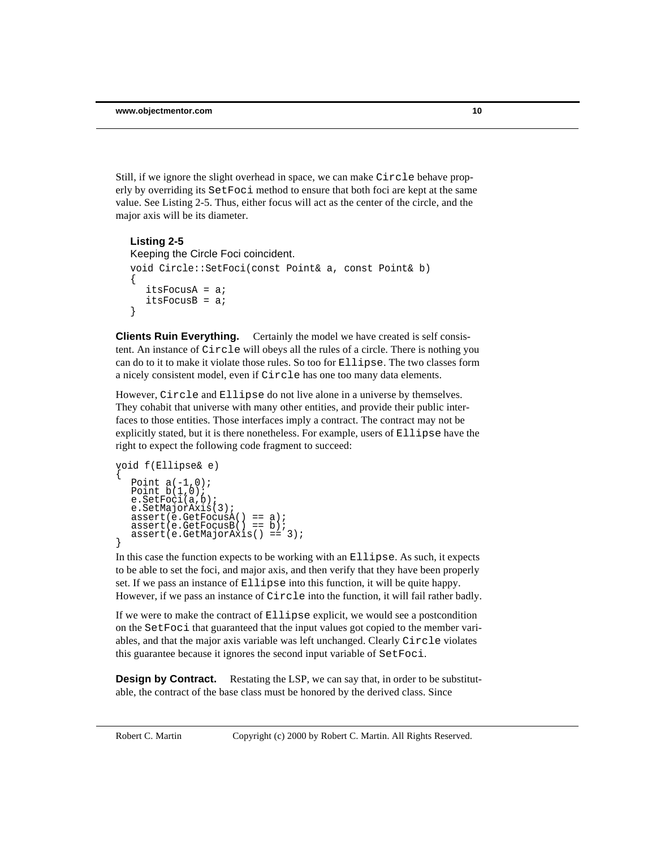Still, if we ignore the slight overhead in space, we can make Circle behave properly by overriding its SetFoci method to ensure that both foci are kept at the same value. See Listing 2-5. Thus, either focus will act as the center of the circle, and the major axis will be its diameter.

```
Listing 2-5
Keeping the Circle Foci coincident.
void Circle::SetFoci(const Point& a, const Point& b)
\{itsFocusA = aiitsFocusB = ai}
```
**Clients Ruin Everything.** Certainly the model we have created is self consistent. An instance of Circle will obeys all the rules of a circle. There is nothing you can do to it to make it violate those rules. So too for Ellipse. The two classes form a nicely consistent model, even if Circle has one too many data elements.

However, Circle and Ellipse do not live alone in a universe by themselves. They cohabit that universe with many other entities, and provide their public interfaces to those entities. Those interfaces imply a contract. The contract may not be explicitly stated, but it is there nonetheless. For example, users of Ellipse have the right to expect the following code fragment to succeed:

```
void f(Ellipse& e)
{
   Point a(-1,0);
   Point b(1,0);
e.SetFoci(a,b);
   e.SetMajorAxis(3);
   assert(e.GetFocusA() == a);
assert(e.GetFocusB() == b);
   assert(e.GetMajorAxis() == 3);}
```
In this case the function expects to be working with an Ellipse. As such, it expects to be able to set the foci, and major axis, and then verify that they have been properly set. If we pass an instance of Ellipse into this function, it will be quite happy. However, if we pass an instance of Circle into the function, it will fail rather badly.

If we were to make the contract of Ellipse explicit, we would see a postcondition on the SetFoci that guaranteed that the input values got copied to the member variables, and that the major axis variable was left unchanged. Clearly Circle violates this guarantee because it ignores the second input variable of SetFoci.

**Design by Contract.** Restating the LSP, we can say that, in order to be substitutable, the contract of the base class must be honored by the derived class. Since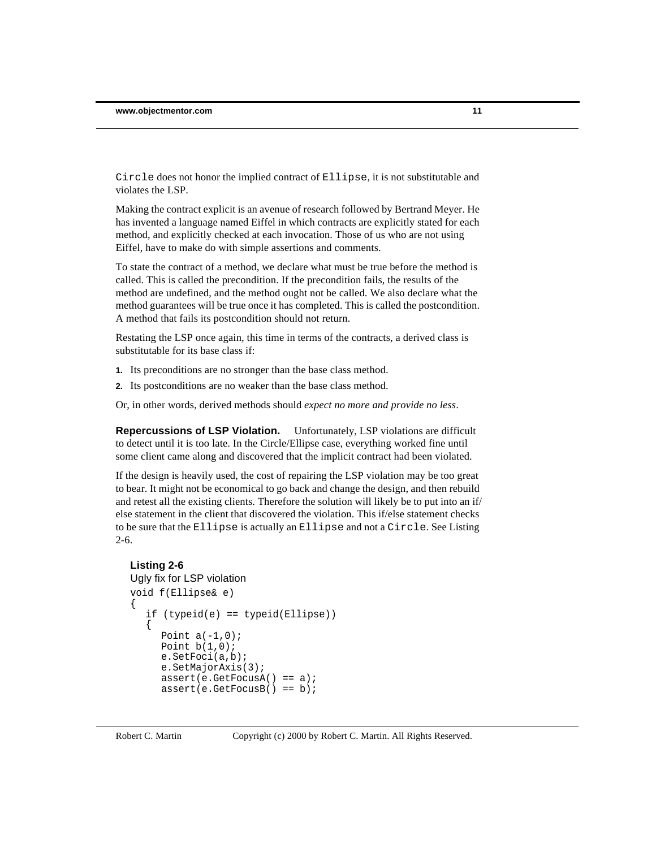Circle does not honor the implied contract of Ellipse, it is not substitutable and violates the LSP.

Making the contract explicit is an avenue of research followed by Bertrand Meyer. He has invented a language named Eiffel in which contracts are explicitly stated for each method, and explicitly checked at each invocation. Those of us who are not using Eiffel, have to make do with simple assertions and comments.

To state the contract of a method, we declare what must be true before the method is called. This is called the precondition. If the precondition fails, the results of the method are undefined, and the method ought not be called. We also declare what the method guarantees will be true once it has completed. This is called the postcondition. A method that fails its postcondition should not return.

Restating the LSP once again, this time in terms of the contracts, a derived class is substitutable for its base class if:

- **1.** Its preconditions are no stronger than the base class method.
- **2.** Its postconditions are no weaker than the base class method.

Or, in other words, derived methods should *expect no more and provide no less*.

**Repercussions of LSP Violation.** Unfortunately, LSP violations are difficult to detect until it is too late. In the Circle/Ellipse case, everything worked fine until some client came along and discovered that the implicit contract had been violated.

If the design is heavily used, the cost of repairing the LSP violation may be too great to bear. It might not be economical to go back and change the design, and then rebuild and retest all the existing clients. Therefore the solution will likely be to put into an if/ else statement in the client that discovered the violation. This if/else statement checks to be sure that the Ellipse is actually an Ellipse and not a Circle. See Listing 2-6.

## **Listing 2-6**

```
Ugly fix for LSP violation
void f(Ellipse& e)
{
  if (typeid(e) == typeid(Ellipse))
   {
     Point a(-1,0);
     Point b(1,0);
     e.SetFoci(a,b);
     e.SetMajorAxis(3);
     assert(e.GetFocusA() == a);assert(e.GetFocusB() == b);
```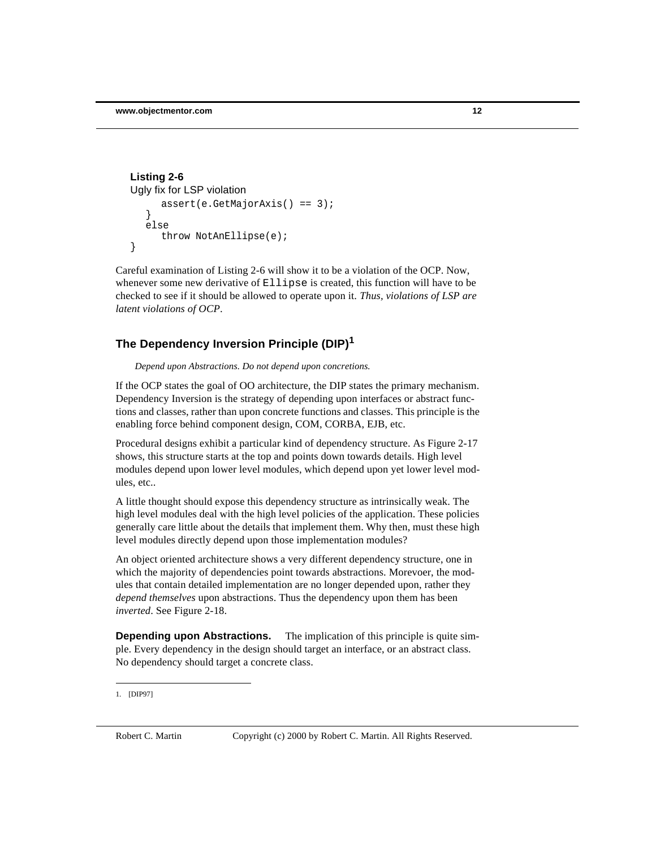```
assert(e.GetMajorAxis() == 3);
   }
   else
      throw NotAnEllipse(e);
}
Listing 2-6
Ugly fix for LSP violation
```
Careful examination of Listing 2-6 will show it to be a violation of the OCP. Now, whenever some new derivative of Ellipse is created, this function will have to be checked to see if it should be allowed to operate upon it. *Thus, violations of LSP are latent violations of OCP*.

# **The Dependency Inversion Principle (DIP)<sup>1</sup>**

*Depend upon Abstractions. Do not depend upon concretions.*

If the OCP states the goal of OO architecture, the DIP states the primary mechanism. Dependency Inversion is the strategy of depending upon interfaces or abstract functions and classes, rather than upon concrete functions and classes. This principle is the enabling force behind component design, COM, CORBA, EJB, etc.

Procedural designs exhibit a particular kind of dependency structure. As Figure 2-17 shows, this structure starts at the top and points down towards details. High level modules depend upon lower level modules, which depend upon yet lower level modules, etc..

A little thought should expose this dependency structure as intrinsically weak. The high level modules deal with the high level policies of the application. These policies generally care little about the details that implement them. Why then, must these high level modules directly depend upon those implementation modules?

An object oriented architecture shows a very different dependency structure, one in which the majority of dependencies point towards abstractions. Morevoer, the modules that contain detailed implementation are no longer depended upon, rather they *depend themselves* upon abstractions. Thus the dependency upon them has been *inverted*. See Figure 2-18.

**Depending upon Abstractions.** The implication of this principle is quite simple. Every dependency in the design should target an interface, or an abstract class. No dependency should target a concrete class.

<sup>1.</sup> [DIP97]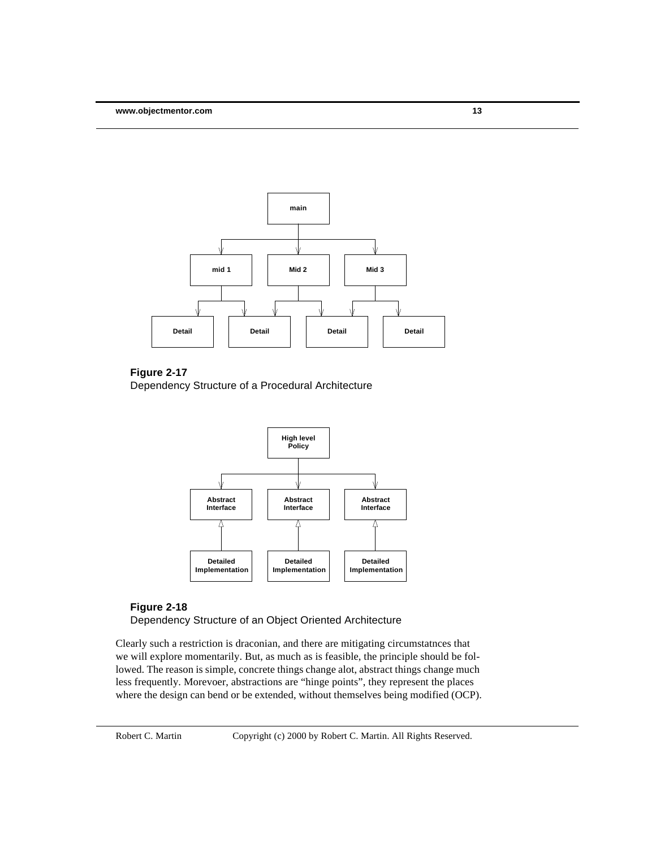

#### **Figure 2-17**

Dependency Structure of a Procedural Architecture



# **Figure 2-18**

Dependency Structure of an Object Oriented Architecture

Clearly such a restriction is draconian, and there are mitigating circumstatnces that we will explore momentarily. But, as much as is feasible, the principle should be followed. The reason is simple, concrete things change alot, abstract things change much less frequently. Morevoer, abstractions are "hinge points", they represent the places where the design can bend or be extended, without themselves being modified (OCP).

Robert C. Martin Copyright (c) 2000 by Robert C. Martin. All Rights Reserved.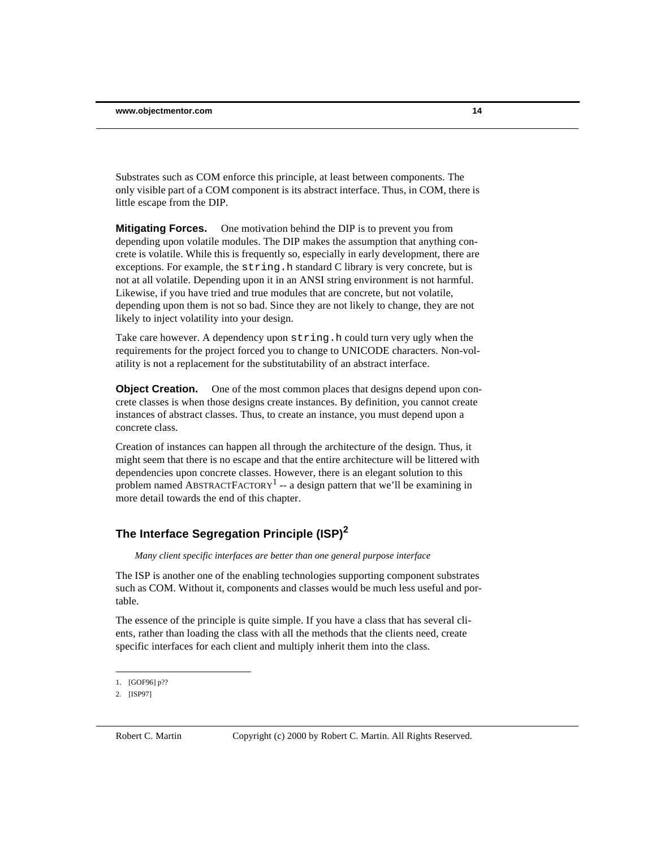Substrates such as COM enforce this principle, at least between components. The only visible part of a COM component is its abstract interface. Thus, in COM, there is little escape from the DIP.

**Mitigating Forces.** One motivation behind the DIP is to prevent you from depending upon volatile modules. The DIP makes the assumption that anything concrete is volatile. While this is frequently so, especially in early development, there are exceptions. For example, the  $string$ . h standard C library is very concrete, but is not at all volatile. Depending upon it in an ANSI string environment is not harmful. Likewise, if you have tried and true modules that are concrete, but not volatile, depending upon them is not so bad. Since they are not likely to change, they are not likely to inject volatility into your design.

Take care however. A dependency upon string.h could turn very ugly when the requirements for the project forced you to change to UNICODE characters. Non-volatility is not a replacement for the substitutability of an abstract interface.

**Object Creation.** One of the most common places that designs depend upon concrete classes is when those designs create instances. By definition, you cannot create instances of abstract classes. Thus, to create an instance, you must depend upon a concrete class.

Creation of instances can happen all through the architecture of the design. Thus, it might seem that there is no escape and that the entire architecture will be littered with dependencies upon concrete classes. However, there is an elegant solution to this problem named ABSTRACTFACTORY<sup>1</sup> -- a design pattern that we'll be examining in more detail towards the end of this chapter.

# **The Interface Segregation Principle (ISP)<sup>2</sup>**

*Many client specific interfaces are better than one general purpose interface*

The ISP is another one of the enabling technologies supporting component substrates such as COM. Without it, components and classes would be much less useful and portable.

The essence of the principle is quite simple. If you have a class that has several clients, rather than loading the class with all the methods that the clients need, create specific interfaces for each client and multiply inherit them into the class.

<sup>1.</sup> [GOF96] p??

<sup>2.</sup> [ISP97]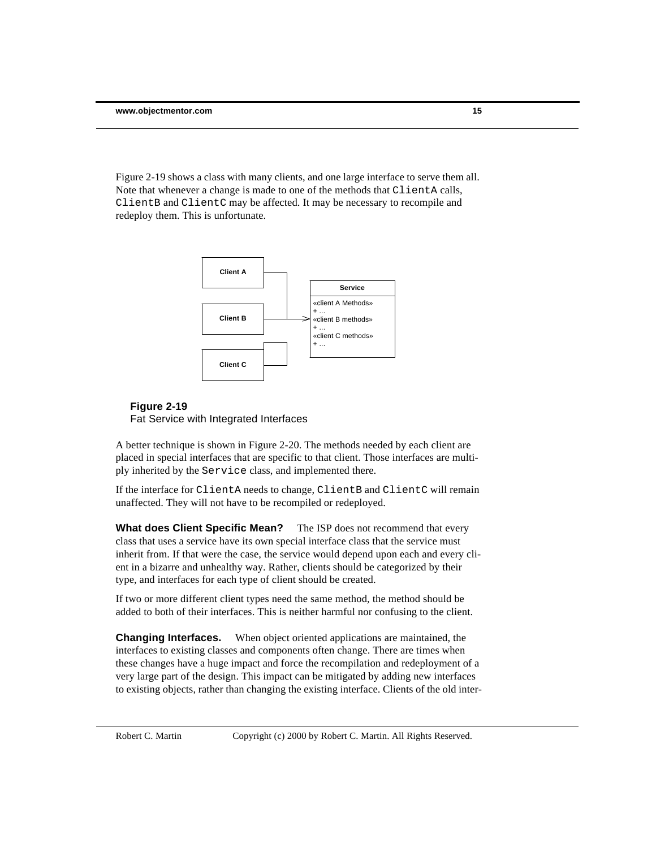Figure 2-19 shows a class with many clients, and one large interface to serve them all. Note that whenever a change is made to one of the methods that ClientA calls, ClientB and ClientC may be affected. It may be necessary to recompile and redeploy them. This is unfortunate.



#### **Figure 2-19**

Fat Service with Integrated Interfaces

A better technique is shown in Figure 2-20. The methods needed by each client are placed in special interfaces that are specific to that client. Those interfaces are multiply inherited by the Service class, and implemented there.

If the interface for ClientA needs to change, ClientB and ClientC will remain unaffected. They will not have to be recompiled or redeployed.

**What does Client Specific Mean?** The ISP does not recommend that every class that uses a service have its own special interface class that the service must inherit from. If that were the case, the service would depend upon each and every client in a bizarre and unhealthy way. Rather, clients should be categorized by their type, and interfaces for each type of client should be created.

If two or more different client types need the same method, the method should be added to both of their interfaces. This is neither harmful nor confusing to the client.

**Changing Interfaces.** When object oriented applications are maintained, the interfaces to existing classes and components often change. There are times when these changes have a huge impact and force the recompilation and redeployment of a very large part of the design. This impact can be mitigated by adding new interfaces to existing objects, rather than changing the existing interface. Clients of the old inter-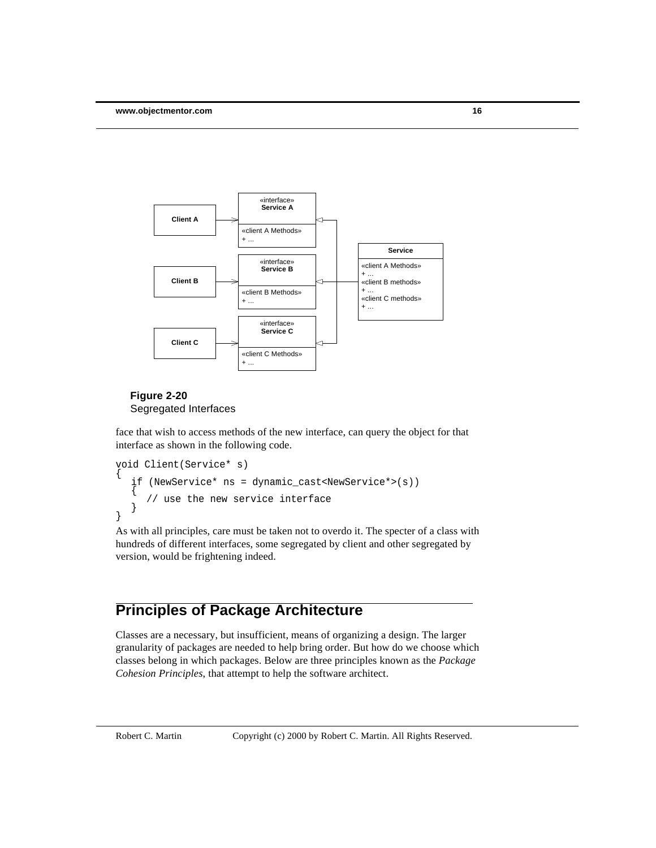

#### **Figure 2-20** Segregated Interfaces

face that wish to access methods of the new interface, can query the object for that interface as shown in the following code.

```
void Client(Service* s)
{
  if (NewService* ns = dynamic_cast<NewService*>(s))
  {
     // use the new service interface
  }
}
```
As with all principles, care must be taken not to overdo it. The specter of a class with hundreds of different interfaces, some segregated by client and other segregated by version, would be frightening indeed.

# **Principles of Package Architecture**

Classes are a necessary, but insufficient, means of organizing a design. The larger granularity of packages are needed to help bring order. But how do we choose which classes belong in which packages. Below are three principles known as the *Package Cohesion Principles*, that attempt to help the software architect.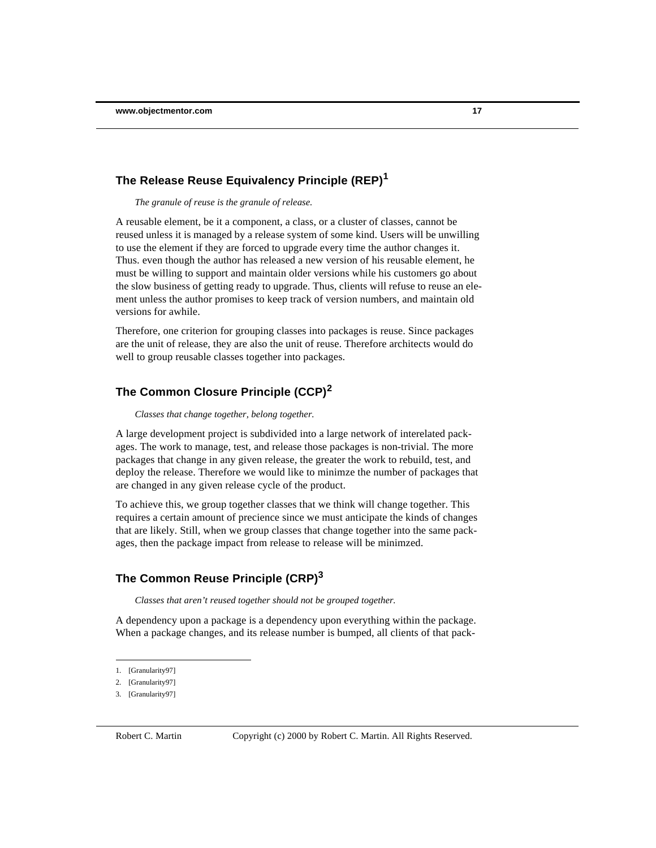#### **The Release Reuse Equivalency Principle (REP)<sup>1</sup>**

*The granule of reuse is the granule of release.*

A reusable element, be it a component, a class, or a cluster of classes, cannot be reused unless it is managed by a release system of some kind. Users will be unwilling to use the element if they are forced to upgrade every time the author changes it. Thus. even though the author has released a new version of his reusable element, he must be willing to support and maintain older versions while his customers go about the slow business of getting ready to upgrade. Thus, clients will refuse to reuse an element unless the author promises to keep track of version numbers, and maintain old versions for awhile.

Therefore, one criterion for grouping classes into packages is reuse. Since packages are the unit of release, they are also the unit of reuse. Therefore architects would do well to group reusable classes together into packages.

#### **The Common Closure Principle (CCP)<sup>2</sup>**

*Classes that change together, belong together.*

A large development project is subdivided into a large network of interelated packages. The work to manage, test, and release those packages is non-trivial. The more packages that change in any given release, the greater the work to rebuild, test, and deploy the release. Therefore we would like to minimze the number of packages that are changed in any given release cycle of the product.

To achieve this, we group together classes that we think will change together. This requires a certain amount of precience since we must anticipate the kinds of changes that are likely. Still, when we group classes that change together into the same packages, then the package impact from release to release will be minimzed.

## **The Common Reuse Principle (CRP)<sup>3</sup>**

*Classes that aren't reused together should not be grouped together.*

A dependency upon a package is a dependency upon everything within the package. When a package changes, and its release number is bumped, all clients of that pack-

<sup>1.</sup> [Granularity97]

<sup>2.</sup> [Granularity97]

<sup>3.</sup> [Granularity97]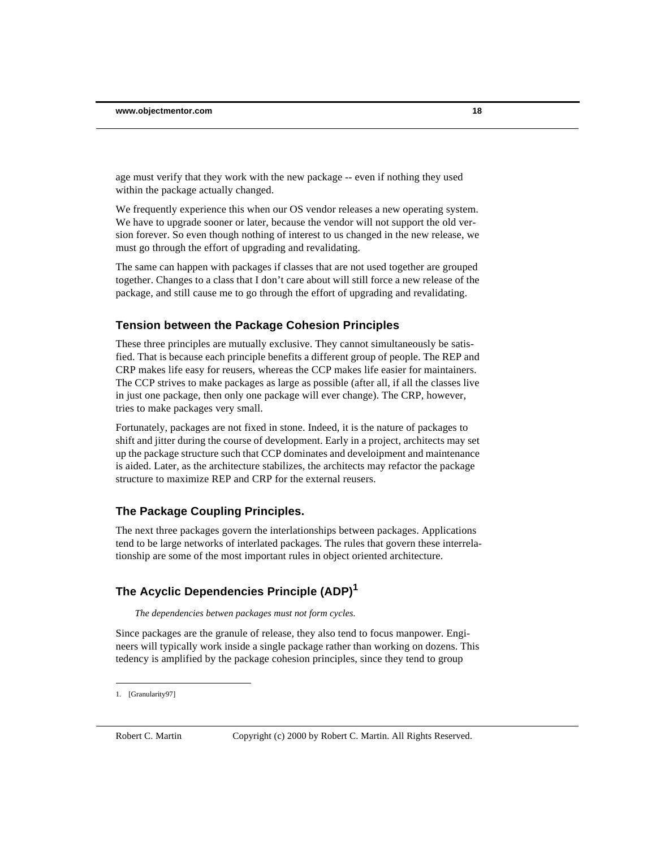age must verify that they work with the new package -- even if nothing they used within the package actually changed.

We frequently experience this when our OS vendor releases a new operating system. We have to upgrade sooner or later, because the vendor will not support the old version forever. So even though nothing of interest to us changed in the new release, we must go through the effort of upgrading and revalidating.

The same can happen with packages if classes that are not used together are grouped together. Changes to a class that I don't care about will still force a new release of the package, and still cause me to go through the effort of upgrading and revalidating.

#### **Tension between the Package Cohesion Principles**

These three principles are mutually exclusive. They cannot simultaneously be satisfied. That is because each principle benefits a different group of people. The REP and CRP makes life easy for reusers, whereas the CCP makes life easier for maintainers. The CCP strives to make packages as large as possible (after all, if all the classes live in just one package, then only one package will ever change). The CRP, however, tries to make packages very small.

Fortunately, packages are not fixed in stone. Indeed, it is the nature of packages to shift and jitter during the course of development. Early in a project, architects may set up the package structure such that CCP dominates and develoipment and maintenance is aided. Later, as the architecture stabilizes, the architects may refactor the package structure to maximize REP and CRP for the external reusers.

#### **The Package Coupling Principles.**

The next three packages govern the interlationships between packages. Applications tend to be large networks of interlated packages. The rules that govern these interrelationship are some of the most important rules in object oriented architecture.

## **The Acyclic Dependencies Principle (ADP)<sup>1</sup>**

*The dependencies betwen packages must not form cycles.*

Since packages are the granule of release, they also tend to focus manpower. Engineers will typically work inside a single package rather than working on dozens. This tedency is amplified by the package cohesion principles, since they tend to group

<sup>1.</sup> [Granularity97]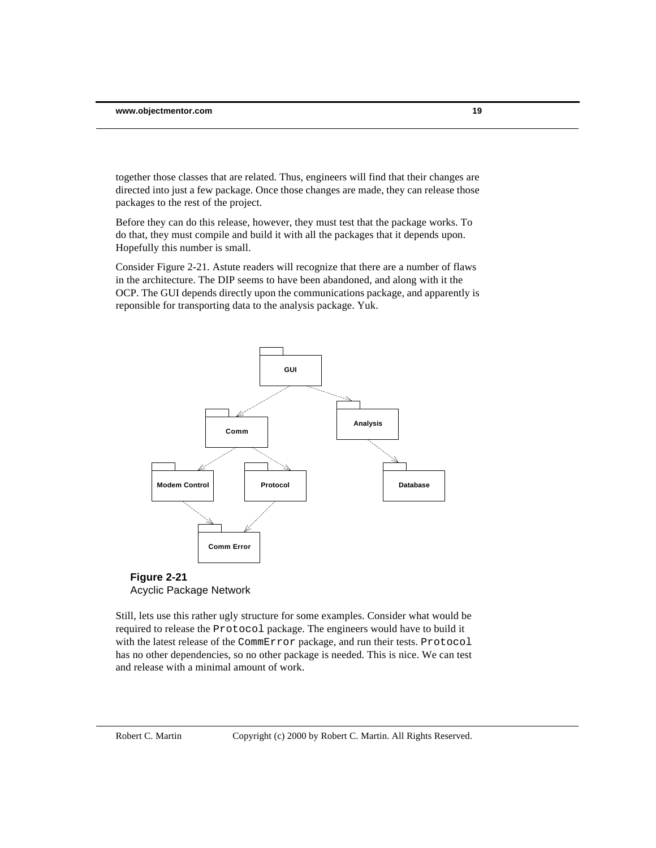together those classes that are related. Thus, engineers will find that their changes are directed into just a few package. Once those changes are made, they can release those packages to the rest of the project.

Before they can do this release, however, they must test that the package works. To do that, they must compile and build it with all the packages that it depends upon. Hopefully this number is small.

Consider Figure 2-21. Astute readers will recognize that there are a number of flaws in the architecture. The DIP seems to have been abandoned, and along with it the OCP. The GUI depends directly upon the communications package, and apparently is reponsible for transporting data to the analysis package. Yuk.





Still, lets use this rather ugly structure for some examples. Consider what would be required to release the Protocol package. The engineers would have to build it with the latest release of the CommError package, and run their tests. Protocol has no other dependencies, so no other package is needed. This is nice. We can test and release with a minimal amount of work.

Robert C. Martin Copyright (c) 2000 by Robert C. Martin. All Rights Reserved.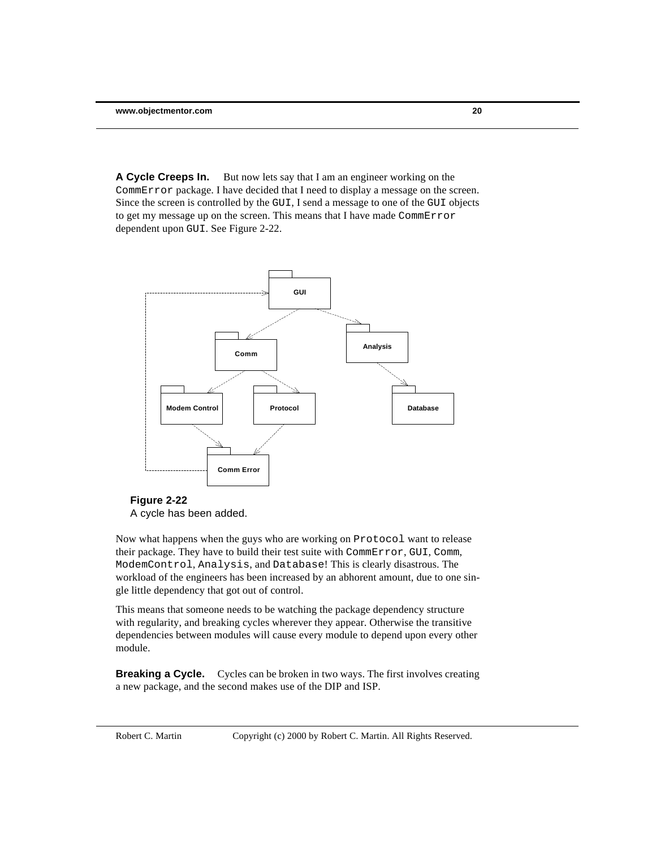**A Cycle Creeps In.** But now lets say that I am an engineer working on the CommError package. I have decided that I need to display a message on the screen. Since the screen is controlled by the GUI, I send a message to one of the GUI objects to get my message up on the screen. This means that I have made CommError dependent upon GUI. See Figure 2-22.



#### **Figure 2-22**

A cycle has been added.

Now what happens when the guys who are working on Protocol want to release their package. They have to build their test suite with CommError, GUI, Comm, ModemControl, Analysis, and Database! This is clearly disastrous. The workload of the engineers has been increased by an abhorent amount, due to one single little dependency that got out of control.

This means that someone needs to be watching the package dependency structure with regularity, and breaking cycles wherever they appear. Otherwise the transitive dependencies between modules will cause every module to depend upon every other module.

**Breaking a Cycle.** Cycles can be broken in two ways. The first involves creating a new package, and the second makes use of the DIP and ISP.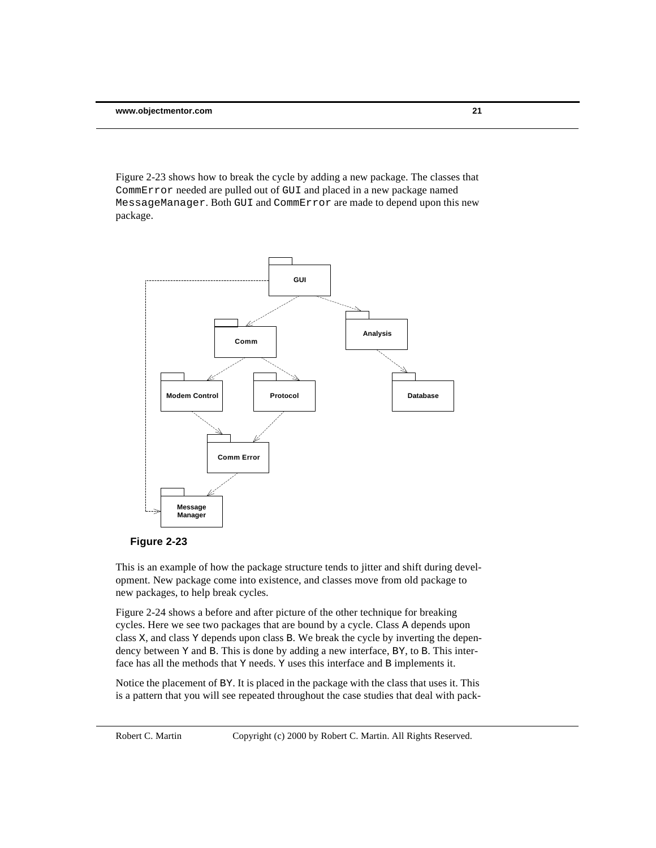Figure 2-23 shows how to break the cycle by adding a new package. The classes that CommError needed are pulled out of GUI and placed in a new package named MessageManager. Both GUI and CommError are made to depend upon this new package.





This is an example of how the package structure tends to jitter and shift during development. New package come into existence, and classes move from old package to new packages, to help break cycles.

Figure 2-24 shows a before and after picture of the other technique for breaking cycles. Here we see two packages that are bound by a cycle. Class A depends upon class X, and class Y depends upon class B. We break the cycle by inverting the dependency between Y and B. This is done by adding a new interface, BY, to B. This interface has all the methods that Y needs. Y uses this interface and B implements it.

Notice the placement of BY. It is placed in the package with the class that uses it. This is a pattern that you will see repeated throughout the case studies that deal with pack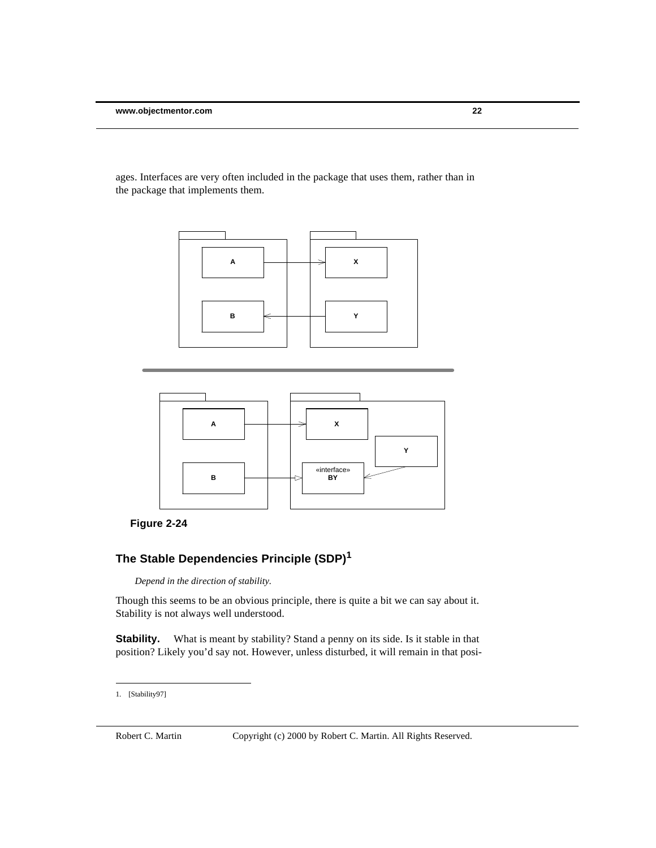ages. Interfaces are very often included in the package that uses them, rather than in the package that implements them.





# **The Stable Dependencies Principle (SDP)<sup>1</sup>**

*Depend in the direction of stability.*

Though this seems to be an obvious principle, there is quite a bit we can say about it. Stability is not always well understood.

**Stability.** What is meant by stability? Stand a penny on its side. Is it stable in that position? Likely you'd say not. However, unless disturbed, it will remain in that posi-

<sup>1.</sup> [Stability97]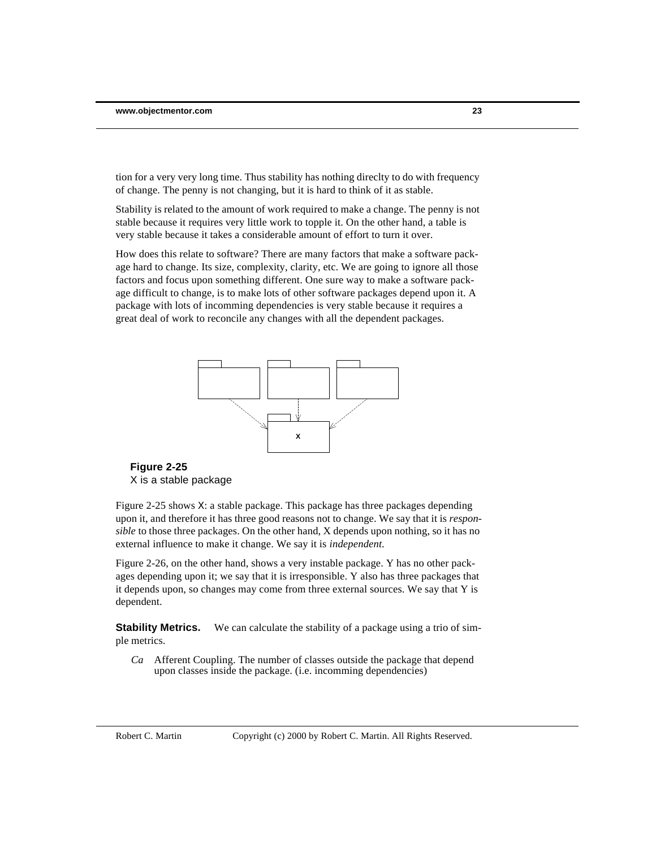tion for a very very long time. Thus stability has nothing direclty to do with frequency of change. The penny is not changing, but it is hard to think of it as stable.

Stability is related to the amount of work required to make a change. The penny is not stable because it requires very little work to topple it. On the other hand, a table is very stable because it takes a considerable amount of effort to turn it over.

How does this relate to software? There are many factors that make a software package hard to change. Its size, complexity, clarity, etc. We are going to ignore all those factors and focus upon something different. One sure way to make a software package difficult to change, is to make lots of other software packages depend upon it. A package with lots of incomming dependencies is very stable because it requires a great deal of work to reconcile any changes with all the dependent packages.



**Figure 2-25** X is a stable package

Figure 2-25 shows X: a stable package. This package has three packages depending upon it, and therefore it has three good reasons not to change. We say that it is *responsible* to those three packages. On the other hand, X depends upon nothing, so it has no external influence to make it change. We say it is *independent*.

Figure 2-26, on the other hand, shows a very instable package. Y has no other packages depending upon it; we say that it is irresponsible. Y also has three packages that it depends upon, so changes may come from three external sources. We say that Y is dependent.

**Stability Metrics.** We can calculate the stability of a package using a trio of simple metrics.

*Ca* Afferent Coupling. The number of classes outside the package that depend upon classes inside the package. (i.e. incomming dependencies)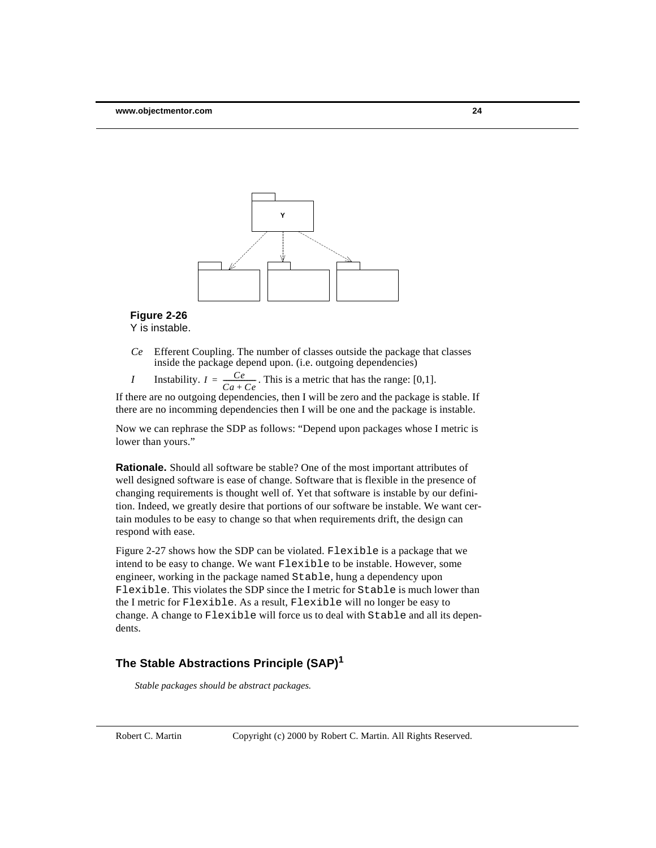

#### **Figure 2-26** Y is instable.

- *Ce* Efferent Coupling. The number of classes outside the package that classes inside the package depend upon. (i.e. outgoing dependencies)
- *I* Instability.  $I = \frac{Ce}{\sqrt{Ce}}$ . This is a metric that has the range: [0,1].  $=\frac{Ce}{Ca + Ce}$

If there are no outgoing dependencies, then I will be zero and the package is stable. If there are no incomming dependencies then I will be one and the package is instable.

Now we can rephrase the SDP as follows: "Depend upon packages whose I metric is lower than yours."

**Rationale.** Should all software be stable? One of the most important attributes of well designed software is ease of change. Software that is flexible in the presence of changing requirements is thought well of. Yet that software is instable by our definition. Indeed, we greatly desire that portions of our software be instable. We want certain modules to be easy to change so that when requirements drift, the design can respond with ease.

Figure 2-27 shows how the SDP can be violated. Flexible is a package that we intend to be easy to change. We want Flexible to be instable. However, some engineer, working in the package named Stable, hung a dependency upon Flexible. This violates the SDP since the I metric for Stable is much lower than the I metric for Flexible. As a result, Flexible will no longer be easy to change. A change to Flexible will force us to deal with Stable and all its dependents.

# **The Stable Abstractions Principle (SAP)<sup>1</sup>**

*Stable packages should be abstract packages.*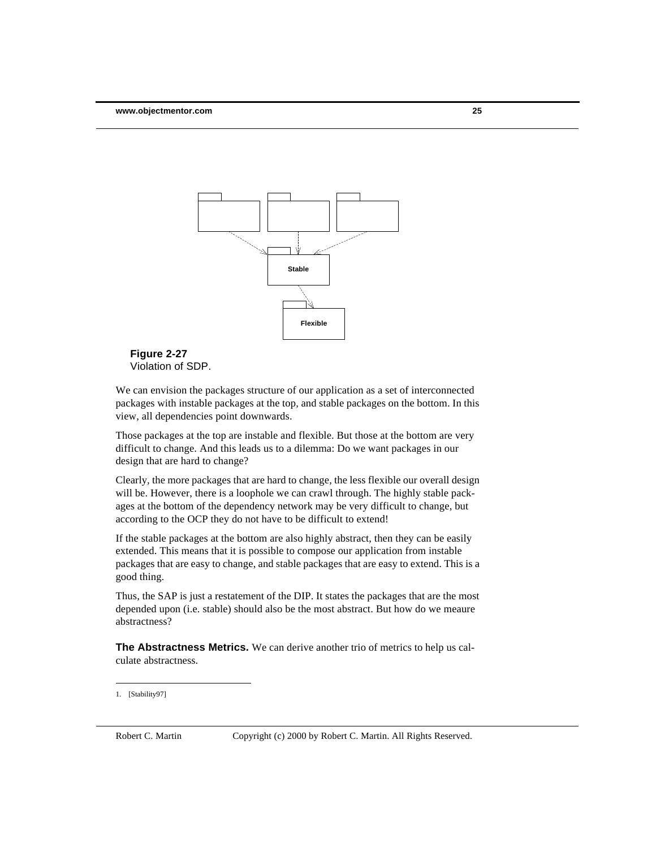



We can envision the packages structure of our application as a set of interconnected packages with instable packages at the top, and stable packages on the bottom. In this view, all dependencies point downwards.

Those packages at the top are instable and flexible. But those at the bottom are very difficult to change. And this leads us to a dilemma: Do we want packages in our design that are hard to change?

Clearly, the more packages that are hard to change, the less flexible our overall design will be. However, there is a loophole we can crawl through. The highly stable packages at the bottom of the dependency network may be very difficult to change, but according to the OCP they do not have to be difficult to extend!

If the stable packages at the bottom are also highly abstract, then they can be easily extended. This means that it is possible to compose our application from instable packages that are easy to change, and stable packages that are easy to extend. This is a good thing.

Thus, the SAP is just a restatement of the DIP. It states the packages that are the most depended upon (i.e. stable) should also be the most abstract. But how do we meaure abstractness?

**The Abstractness Metrics.** We can derive another trio of metrics to help us calculate abstractness.

<sup>1.</sup> [Stability97]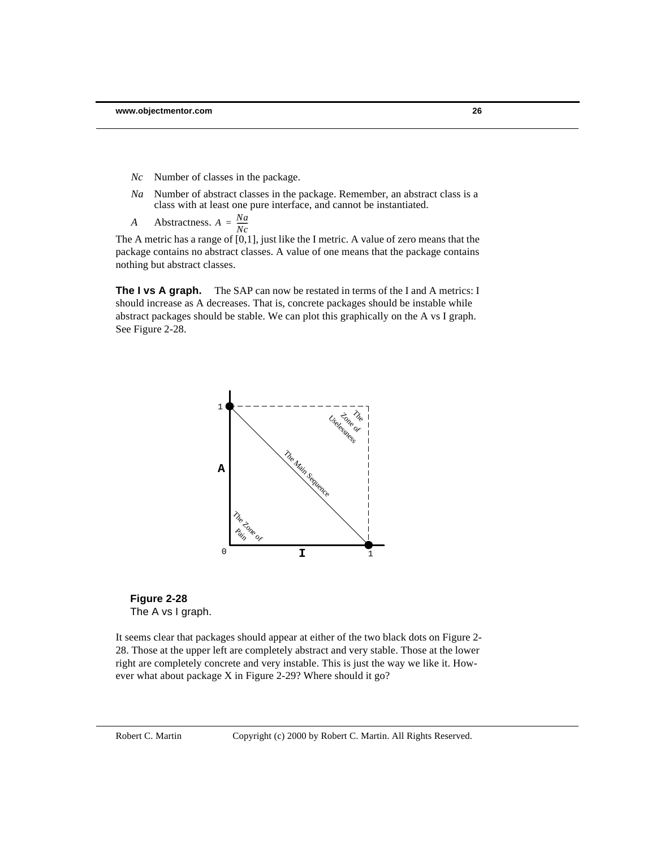- *Nc* Number of classes in the package.
- *Na* Number of abstract classes in the package. Remember, an abstract class is a class with at least one pure interface, and cannot be instantiated.
- *A* Abstractness.  $A = \frac{Na}{N}$  $=\frac{N\mu}{Nc}$

The A metric has a range of  $[0,1]$ , just like the I metric. A value of zero means that the package contains no abstract classes. A value of one means that the package contains nothing but abstract classes.

**The I vs A graph.** The SAP can now be restated in terms of the I and A metrics: I should increase as A decreases. That is, concrete packages should be instable while abstract packages should be stable. We can plot this graphically on the A vs I graph. See Figure 2-28.





It seems clear that packages should appear at either of the two black dots on Figure 2- 28. Those at the upper left are completely abstract and very stable. Those at the lower right are completely concrete and very instable. This is just the way we like it. However what about package X in Figure 2-29? Where should it go?

Robert C. Martin Copyright (c) 2000 by Robert C. Martin. All Rights Reserved.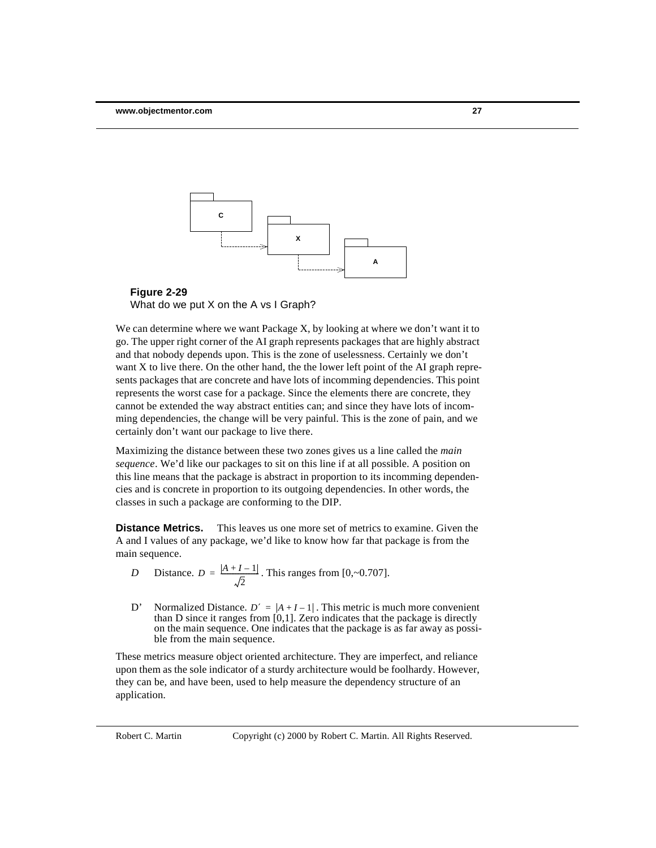



We can determine where we want Package X, by looking at where we don't want it to go. The upper right corner of the AI graph represents packages that are highly abstract and that nobody depends upon. This is the zone of uselessness. Certainly we don't want X to live there. On the other hand, the the lower left point of the AI graph represents packages that are concrete and have lots of incomming dependencies. This point represents the worst case for a package. Since the elements there are concrete, they cannot be extended the way abstract entities can; and since they have lots of incomming dependencies, the change will be very painful. This is the zone of pain, and we certainly don't want our package to live there.

Maximizing the distance between these two zones gives us a line called the *main sequence*. We'd like our packages to sit on this line if at all possible. A position on this line means that the package is abstract in proportion to its incomming dependencies and is concrete in proportion to its outgoing dependencies. In other words, the classes in such a package are conforming to the DIP.

**Distance Metrics.** This leaves us one more set of metrics to examine. Given the A and I values of any package, we'd like to know how far that package is from the main sequence.

D Distance. 
$$
D = \frac{|A + I - 1|}{\sqrt{2}}
$$
. This ranges from [0,-0.707].

D' Normalized Distance.  $D' = |A + I - 1|$ . This metric is much more convenient than D since it ranges from [0,1]. Zero indicates that the package is directly on the main sequence. One indicates that the package is as far away as possible from the main sequence.

These metrics measure object oriented architecture. They are imperfect, and reliance upon them as the sole indicator of a sturdy architecture would be foolhardy. However, they can be, and have been, used to help measure the dependency structure of an application.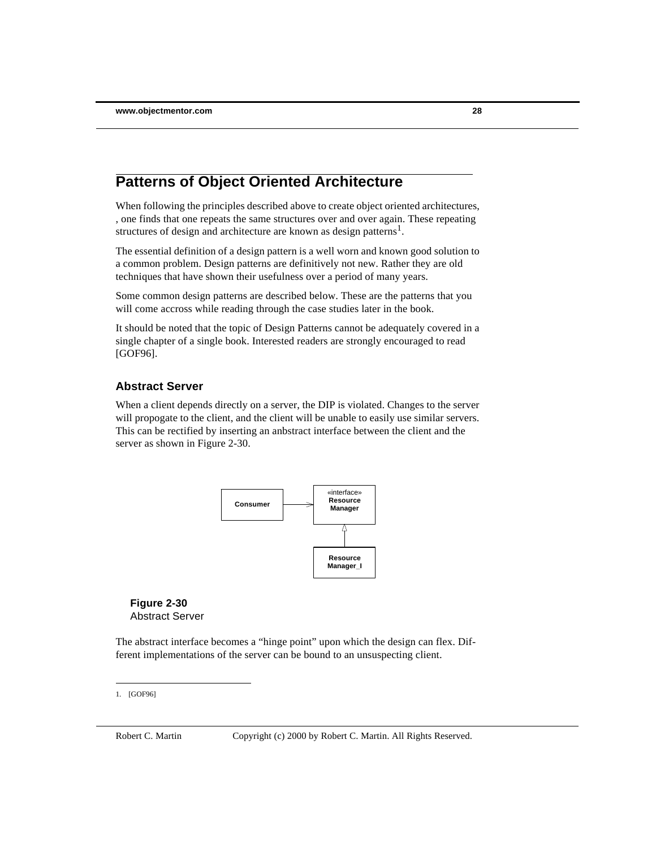# **Patterns of Object Oriented Architecture**

When following the principles described above to create object oriented architectures, , one finds that one repeats the same structures over and over again. These repeating structures of design and architecture are known as design patterns<sup>1</sup>.

The essential definition of a design pattern is a well worn and known good solution to a common problem. Design patterns are definitively not new. Rather they are old techniques that have shown their usefulness over a period of many years.

Some common design patterns are described below. These are the patterns that you will come accross while reading through the case studies later in the book.

It should be noted that the topic of Design Patterns cannot be adequately covered in a single chapter of a single book. Interested readers are strongly encouraged to read [GOF96].

#### **Abstract Server**

When a client depends directly on a server, the DIP is violated. Changes to the server will propogate to the client, and the client will be unable to easily use similar servers. This can be rectified by inserting an anbstract interface between the client and the server as shown in Figure 2-30.



**Figure 2-30** Abstract Server

The abstract interface becomes a "hinge point" upon which the design can flex. Different implementations of the server can be bound to an unsuspecting client.

<sup>1.</sup> [GOF96]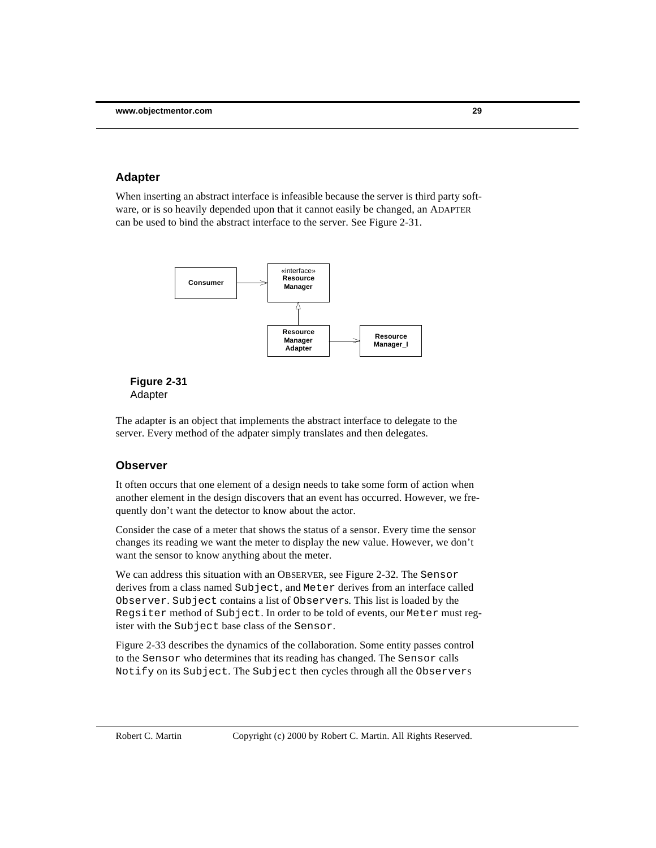#### **Adapter**

When inserting an abstract interface is infeasible because the server is third party software, or is so heavily depended upon that it cannot easily be changed, an ADAPTER can be used to bind the abstract interface to the server. See Figure 2-31.



#### **Figure 2-31** Adapter

The adapter is an object that implements the abstract interface to delegate to the server. Every method of the adpater simply translates and then delegates.

#### **Observer**

It often occurs that one element of a design needs to take some form of action when another element in the design discovers that an event has occurred. However, we frequently don't want the detector to know about the actor.

Consider the case of a meter that shows the status of a sensor. Every time the sensor changes its reading we want the meter to display the new value. However, we don't want the sensor to know anything about the meter.

We can address this situation with an OBSERVER, see Figure 2-32. The Sensor derives from a class named Subject, and Meter derives from an interface called Observer. Subject contains a list of Observers. This list is loaded by the Regsiter method of Subject. In order to be told of events, our Meter must register with the Subject base class of the Sensor.

Figure 2-33 describes the dynamics of the collaboration. Some entity passes control to the Sensor who determines that its reading has changed. The Sensor calls Notify on its Subject. The Subject then cycles through all the Observers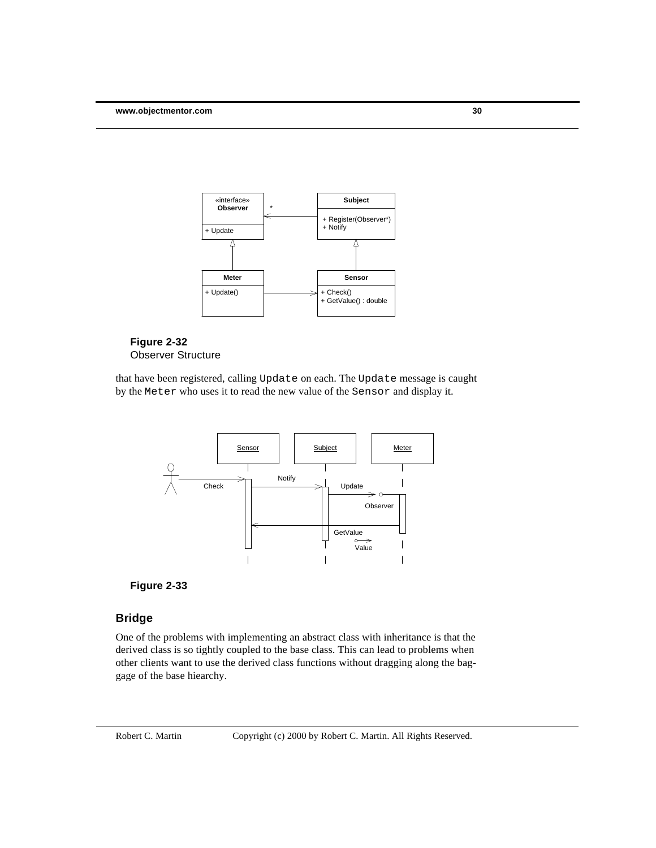



that have been registered, calling Update on each. The Update message is caught by the Meter who uses it to read the new value of the Sensor and display it.





# **Bridge**

One of the problems with implementing an abstract class with inheritance is that the derived class is so tightly coupled to the base class. This can lead to problems when other clients want to use the derived class functions without dragging along the baggage of the base hiearchy.

Robert C. Martin Copyright (c) 2000 by Robert C. Martin. All Rights Reserved.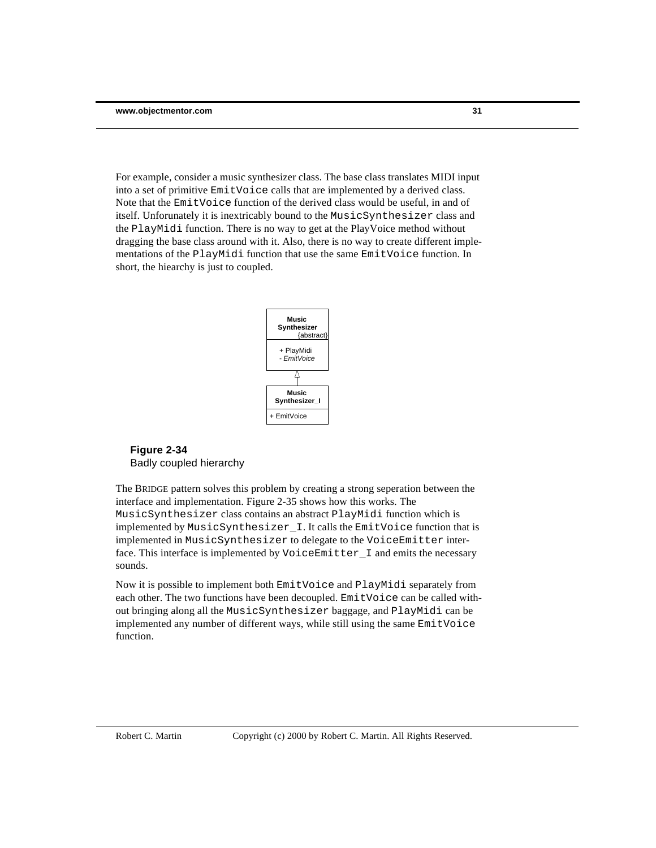For example, consider a music synthesizer class. The base class translates MIDI input into a set of primitive EmitVoice calls that are implemented by a derived class. Note that the EmitVoice function of the derived class would be useful, in and of itself. Unforunately it is inextricably bound to the MusicSynthesizer class and the PlayMidi function. There is no way to get at the PlayVoice method without dragging the base class around with it. Also, there is no way to create different implementations of the PlayMidi function that use the same EmitVoice function. In short, the hiearchy is just to coupled.



#### **Figure 2-34** Badly coupled hierarchy

The BRIDGE pattern solves this problem by creating a strong seperation between the interface and implementation. Figure 2-35 shows how this works. The MusicSynthesizer class contains an abstract PlayMidi function which is implemented by MusicSynthesizer\_I. It calls the EmitVoice function that is implemented in MusicSynthesizer to delegate to the VoiceEmitter interface. This interface is implemented by VoiceEmitter\_I and emits the necessary sounds.

Now it is possible to implement both EmitVoice and PlayMidi separately from each other. The two functions have been decoupled. EmitVoice can be called without bringing along all the MusicSynthesizer baggage, and PlayMidi can be implemented any number of different ways, while still using the same EmitVoice function.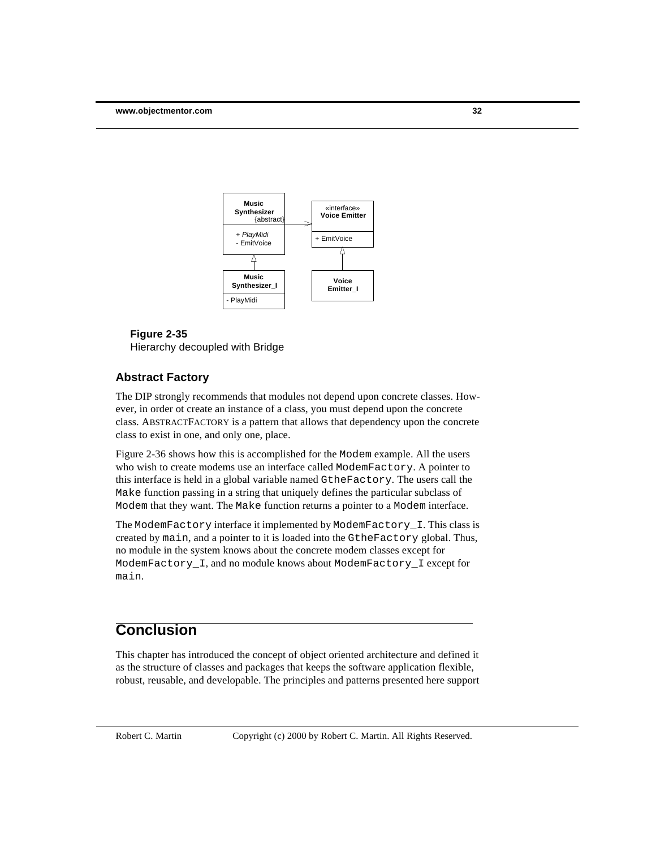

**Figure 2-35** Hierarchy decoupled with Bridge

#### **Abstract Factory**

The DIP strongly recommends that modules not depend upon concrete classes. However, in order ot create an instance of a class, you must depend upon the concrete class. ABSTRACTFACTORY is a pattern that allows that dependency upon the concrete class to exist in one, and only one, place.

Figure 2-36 shows how this is accomplished for the Modem example. All the users who wish to create modems use an interface called ModemFactory. A pointer to this interface is held in a global variable named GtheFactory. The users call the Make function passing in a string that uniquely defines the particular subclass of Modem that they want. The Make function returns a pointer to a Modem interface.

The ModemFactory interface it implemented by ModemFactory\_I. This class is created by main, and a pointer to it is loaded into the GtheFactory global. Thus, no module in the system knows about the concrete modem classes except for ModemFactory\_I, and no module knows about ModemFactory\_I except for main.

# **Conclusion**

This chapter has introduced the concept of object oriented architecture and defined it as the structure of classes and packages that keeps the software application flexible, robust, reusable, and developable. The principles and patterns presented here support

Robert C. Martin Copyright (c) 2000 by Robert C. Martin. All Rights Reserved.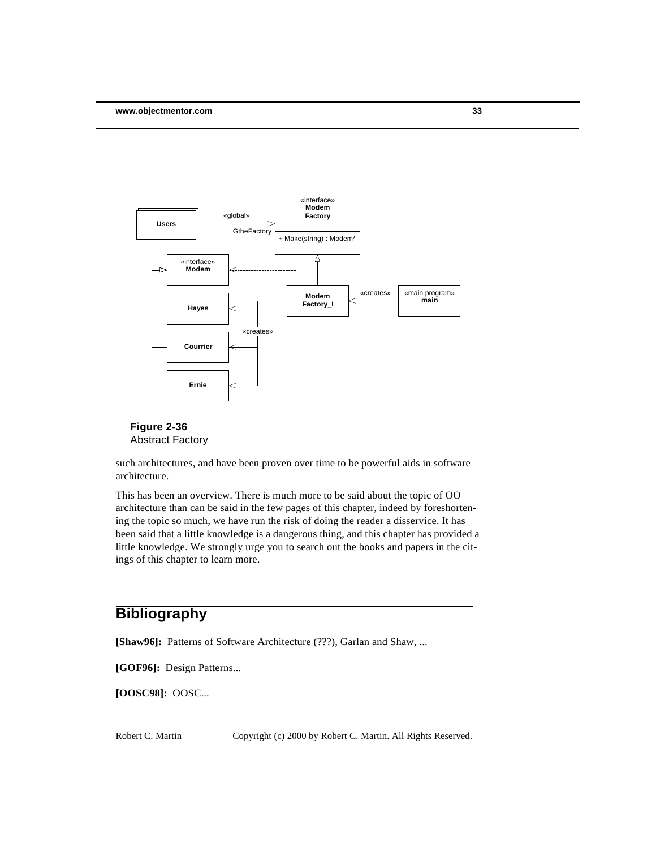



such architectures, and have been proven over time to be powerful aids in software architecture.

This has been an overview. There is much more to be said about the topic of OO architecture than can be said in the few pages of this chapter, indeed by foreshortening the topic so much, we have run the risk of doing the reader a disservice. It has been said that a little knowledge is a dangerous thing, and this chapter has provided a little knowledge. We strongly urge you to search out the books and papers in the citings of this chapter to learn more.

# **Bibliography**

[Shaw96]: Patterns of Software Architecture (???), Garlan and Shaw, ...

**[GOF96]:** Design Patterns...

**[OOSC98]:** OOSC...

Robert C. Martin Copyright (c) 2000 by Robert C. Martin. All Rights Reserved.